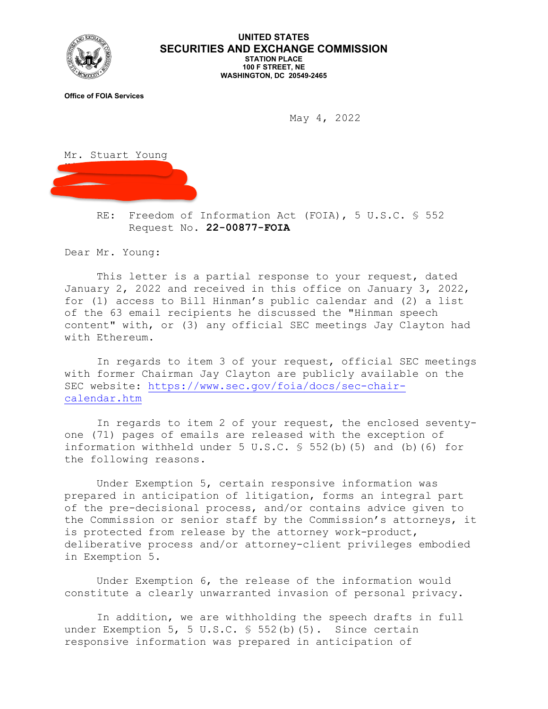

## **UNITED STATES SECURITIES AND EXCHANGE COMMISSION STATION PLACE 100 F STREET, NE WASHINGTON, DC 20549-2465**

**Office of FOIA Services**

May 4, 2022



RE: Freedom of Information Act (FOIA), 5 U.S.C. § 552 Request No. **22-00877-FOIA**

Dear Mr. Young:

This letter is a partial response to your request, dated January 2, 2022 and received in this office on January 3, 2022, for (1) access to Bill Hinman's public calendar and (2) a list of the 63 email recipients he discussed the "Hinman speech content" with, or (3) any official SEC meetings Jay Clayton had with Ethereum.

In regards to item 3 of your request, official SEC meetings with former Chairman Jay Clayton are publicly available on the SEC website: [https://www.sec.gov/foia/docs/sec-chair](https://www.sec.gov/foia/docs/sec-chair-calendar.htm)[calendar.htm](https://www.sec.gov/foia/docs/sec-chair-calendar.htm)

In regards to item 2 of your request, the enclosed seventyone (71) pages of emails are released with the exception of information withheld under 5 U.S.C. § 552(b)(5) and (b)(6) for the following reasons.

Under Exemption 5, certain responsive information was prepared in anticipation of litigation, forms an integral part of the pre-decisional process, and/or contains advice given to the Commission or senior staff by the Commission's attorneys, it is protected from release by the attorney work-product, deliberative process and/or attorney-client privileges embodied in Exemption 5.

Under Exemption 6, the release of the information would constitute a clearly unwarranted invasion of personal privacy.

In addition, we are withholding the speech drafts in full under Exemption 5, 5 U.S.C. § 552(b)(5). Since certain responsive information was prepared in anticipation of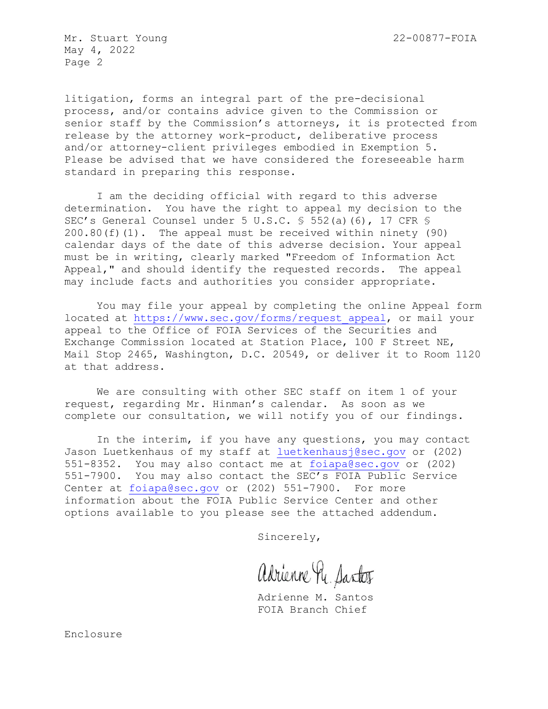Mr. Stuart Young 22-00877-FOIA May 4, 2022 Page 2

litigation, forms an integral part of the pre-decisional process, and/or contains advice given to the Commission or senior staff by the Commission's attorneys, it is protected from release by the attorney work-product, deliberative process and/or attorney-client privileges embodied in Exemption 5. Please be advised that we have considered the foreseeable harm standard in preparing this response.

I am the deciding official with regard to this adverse determination. You have the right to appeal my decision to the SEC's General Counsel under 5 U.S.C. § 552(a)(6), 17 CFR §  $200.80(f)(1)$ . The appeal must be received within ninety (90) calendar days of the date of this adverse decision. Your appeal must be in writing, clearly marked "Freedom of Information Act Appeal," and should identify the requested records. The appeal may include facts and authorities you consider appropriate.

You may file your appeal by completing the online Appeal form located at [https://www.sec.gov/forms/request\\_appeal,](https://www.sec.gov/forms/request_appeal) or mail your appeal to the Office of FOIA Services of the Securities and Exchange Commission located at Station Place, 100 F Street NE, Mail Stop 2465, Washington, D.C. 20549, or deliver it to Room 1120 at that address.

We are consulting with other SEC staff on item 1 of your request, regarding Mr. Hinman's calendar. As soon as we complete our consultation, we will notify you of our findings.

In the interim, if you have any questions, you may contact Jason Luetkenhaus of my staff at [luetkenhausj@sec.gov](mailto:luetkenhausj@sec.gov) or (202) 551-8352. You may also contact me at [foiapa@sec.gov](mailto:foiapa@sec.gov) or (202) 551-7900. You may also contact the SEC's FOIA Public Service Center at [foiapa@sec.gov](mailto:foiapa@sec.gov) or (202) 551-7900. For more information about the FOIA Public Service Center and other options available to you please see the attached addendum.

Sincerely,

adrienne Re. Santos

Adrienne M. Santos FOIA Branch Chief

Enclosure